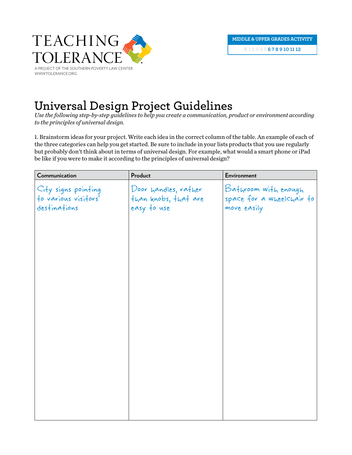

## **Universal Design Project Guidelines**

*Use the following step-by-step guidelines to help you create a communication, product or environment according to the principles of universal design.*

1. Brainstorm ideas for your project. Write each idea in the correct column of the table. An example of each of the three categories can help you get started. Be sure to include in your lists products that you use regularly but probably don't think about in terms of universal design. For example, what would a smart phone or iPad be like if you were to make it according to the principles of universal design?

| Communication                               | Product              | <b>Environment</b>        |
|---------------------------------------------|----------------------|---------------------------|
|                                             | Door handles, rather | Bathroom with enough      |
| City signs pointing<br>to various visitors' | than knobs, that are | space for a wheelchair to |
| destinations                                | easy to use          | move easily               |
|                                             |                      |                           |
|                                             |                      |                           |
|                                             |                      |                           |
|                                             |                      |                           |
|                                             |                      |                           |
|                                             |                      |                           |
|                                             |                      |                           |
|                                             |                      |                           |
|                                             |                      |                           |
|                                             |                      |                           |
|                                             |                      |                           |
|                                             |                      |                           |
|                                             |                      |                           |
|                                             |                      |                           |
|                                             |                      |                           |
|                                             |                      |                           |
|                                             |                      |                           |
|                                             |                      |                           |
|                                             |                      |                           |
|                                             |                      |                           |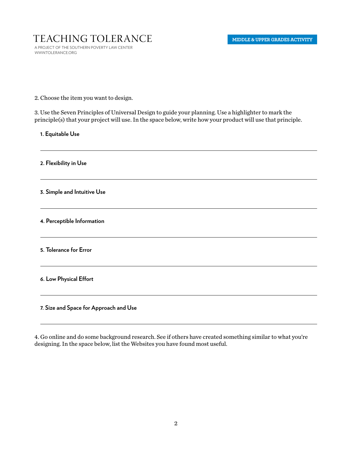## Teaching Tolerance

a project of the southern poverty law center www.tolerance.org

2. Choose the item you want to design.

3. Use the Seven Principles of Universal Design to guide your planning. Use a highlighter to mark the principle(s) that your project will use. In the space below, write how your product will use that principle.

**1. Equitable Use**

**2. Flexibility in Use**

**3. Simple and Intuitive Use**

**4. Perceptible Information**

**5. Tolerance for Error**

**6. Low Physical Effort**

**7. Size and Space for Approach and Use**

4. Go online and do some background research. See if others have created something similar to what you're designing. In the space below, list the Websites you have found most useful.